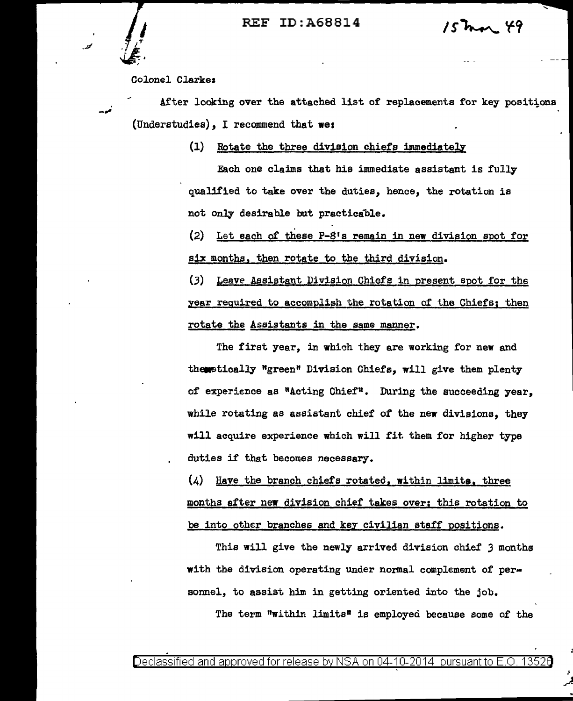REF ID:A68814

 $15$ mar 49

Colonel Clarke:

After looking over the attached list of replacements for key positions (Understudies), I recommend that we:

(1) Rotate the three division chiefs immediately

Each one claims that his immediate assistant is fully qualified to take over the duties, hence, the rotation is not only desirable but practicable.

(2) Let each of these  $P-8$ 's remain in new division spot for six months. then rotate to the third division.

(3) Leave Assistant Division Chiefs in present spot for the year required to accomplish the rotation of the Chiefs; then rotate the Assistants in the same manner.

The first year, in which they are working for new and thenetically "green" Division Chiefs, will give them plenty of experience as "Acting Chief". During the succeeding year, while rotating as assistant chief of the new divisions, they will acquire experience which will fit them for higher type duties if that becomes necessary.

 $(4)$  Have the branch chiefs rotated, within limits, three months after new division chief takes over; this rotation to be into other branches and key civilian staff positions.

This will give the newly arrived division chief *3* months with the division operating under normal complement of personnel, to assist him in getting oriented into the job. The term "within limits" is employed because some of the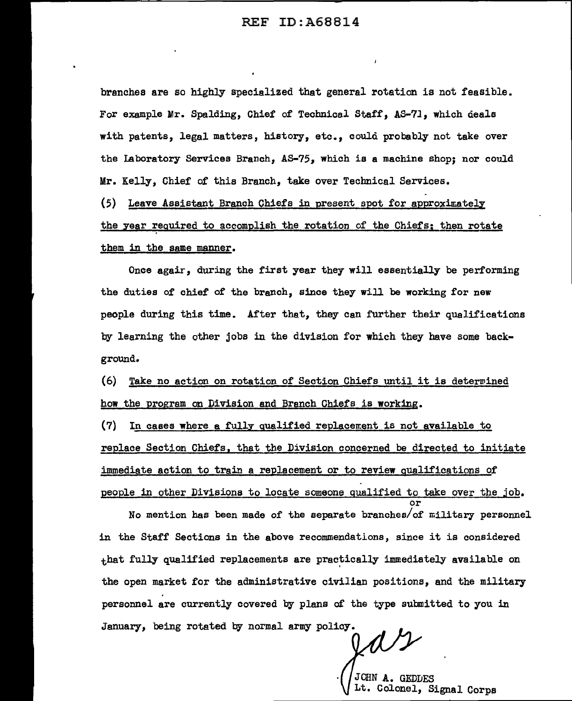branches are so highly specialized that general rotation is not feasible. For example Mr. Spalding, Chief of Technical Staff, AS-71, which deals with patents, legal matters, history, etc., could probably not take over the laboratory Services Branch, AS-75, which is a machine shop; nor could Mr. Kelly, Chief of this Branch, take over Technical Services.

 $(5)$  Leave Assistant Branch Chiefs in present spot for approximately the year required to accomplish the rotation of the Chiefs; then rotate them in the same manner.

Once agair, during the first year they will essentially be performing the duties of chief of the branch, since they will be working for new people during this time. After that, they can further their qualifications by learning the other jobs in the division for which they have some background.

(6) Take no action on rotation of Section Chiefs until it is deterwined how the program on Division and Branch Chiefs is working.

 $(7)$  In cases where a fully qualified replacement is not available to replace Section Chiefs, that the Division concerned be directed to initiate immediate action to train a replacement or to review qualifications of people in other Divisions to locate someone qualified to take over the job. or

No mention has been made of the separate branches/of military personnel in the Staff Sections in the above recommendations, since it is considered  $_{\text{that}}$  fully qualified replacements are practically immediately available on the open market for the administrative civilian positions, and the military personnel are currently covered by plans of the type submitted to you in January, being rotated by normal army policy.

JOHN A. GEDDES Lt. Colonel, Signal Corps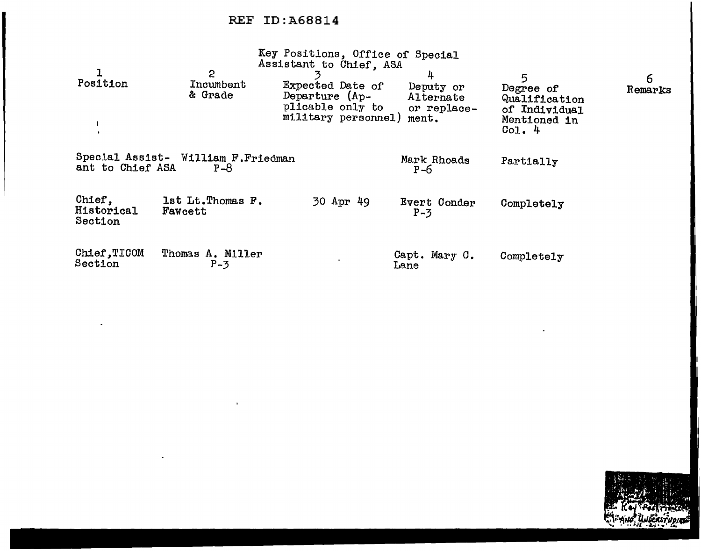$\mathbf{r}$ 

|                                 |                                                | Key Positions, Office of Special<br>Assistant to Chief, ASA                   |                                                     |                                                                           |              |
|---------------------------------|------------------------------------------------|-------------------------------------------------------------------------------|-----------------------------------------------------|---------------------------------------------------------------------------|--------------|
| Position                        | 2<br>Incumbent<br>& Grade                      | Expected Date of<br>Departure (Ap-<br>plicable only to<br>military personnel) | 4<br>Deputy or<br>Alternate<br>or replace-<br>ment. | 5<br>Degree of<br>Qualification<br>of Individual<br>Mentioned in<br>Co1.4 | 6<br>Remarks |
| ant to Chief ASA                | Special Assist- William F. Friedman<br>$P - 8$ |                                                                               | Mark Rhoads<br>$P - 6$                              | Partially                                                                 |              |
| Chief,<br>Historical<br>Section | 1st Lt. Thomas F.<br>Fawcett                   | 30 Apr 49                                                                     | Evert Conder<br>$P-3$                               | Completely                                                                |              |
| Chief, TICOM<br>Section         | Thomas A. Miller<br>$P-3$                      |                                                                               | Capt. Mary C.<br>Lane                               | Completely                                                                |              |

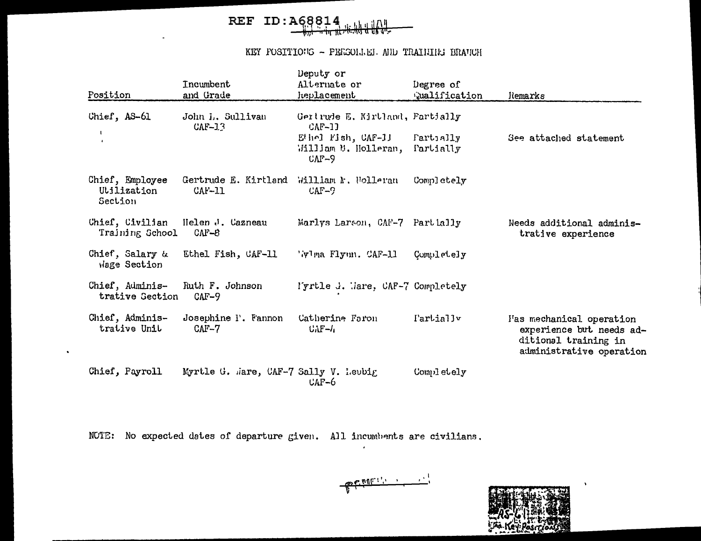## REF ID:  $AG8814$

#### KEY POSITIONS - PERSONAEL AND TRAINING BRANCH

| Position                                  | Incumbent<br>and Grade                | Deputy or<br>Alternate or<br>heplacement                             | Degree of<br>walification | ldemarks                                                                                                  |
|-------------------------------------------|---------------------------------------|----------------------------------------------------------------------|---------------------------|-----------------------------------------------------------------------------------------------------------|
| Chief, AS-61                              | John I., Sullivan<br>$CAF-13$         | Gertrude E. Kirtland, Partially<br>$CAF-11$                          |                           |                                                                                                           |
|                                           |                                       | $E^{t}$ hel Fish, $CAF-11$<br>William M. Holleran,<br>$C\Lambda F-9$ | Fartially<br>Partially    | See attached statement                                                                                    |
| Chief, Employee<br>Utilization<br>Section | Gertrude E. Kirtland<br>$CAF-11$      | William M. Holleran<br>$CAF-9$                                       | Completely                |                                                                                                           |
| Chief, Civilian<br>Training School        | Helen J. Cazneau<br>$CAF-8$           | Marlys Larson, CAF-7 Partially                                       |                           | Needs additional adminis-<br>trative experience                                                           |
| Chief, Salary &<br>Wage Section           | Ethel Fish, CAF-11                    | 'Wima Flynn. CAF-11                                                  | Completely                |                                                                                                           |
| Chief, Adminis-<br>trative Section        | Ruth F. Johnson<br>$CAF-9$            | l'yrtle J. Mare, CAF-7 Completely                                    |                           |                                                                                                           |
| Chief, Adminis-<br>trative Unit           | Josephine P. Fannon<br>$CMF-7$        | Catherine Faron<br>$U\Lambda F - I$                                  | I'artially                | I'as mechanical operation<br>experience but needs ad-<br>ditional training in<br>administrative operation |
| Chief, Payroll                            | Myrtle G. Mare, CAF-7 Sally V. Leubig | $CAF-6$                                                              | Completely                |                                                                                                           |

NOTE: No expected dates of departure given. All incumbents are civilians.

 $\bullet$ 

 $\epsilon$ 

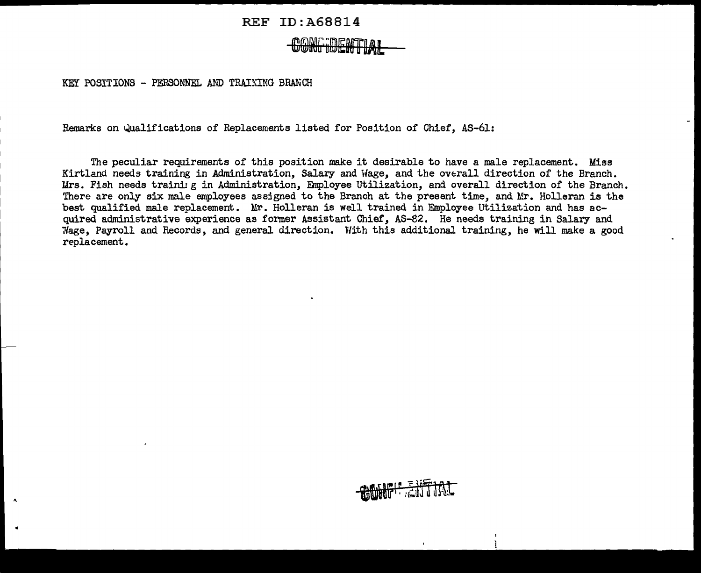## **CONFIDENTIAL**

KEY POSTTIONS - PERSONNEL AND TRAINING BRANCH

 $\lambda$ 

Remarks on Qualifications of Replacements listed for Position of Chief, AS-61:

The peculiar requirements of this position make it desirable to have a male replacement. Miss Kirtland needs training in Administration, Salary and Wage, and the overall direction of the Branch. Mrs. Fish needs training in Administration, Employee Utilization, and overall direction of the Branch. There are only six male employees assigned to the Branch at the present time, and Mr. Holleran is the best qualified male replacement. Mr. Holleran is well trained in Employee Utilization and has acquired administrative experience as former Assistant Chief, AS-82. He needs training in Salary and 7fage, Payroll and Records, and general direction. V/ith this additional training, he will make a good replacement.

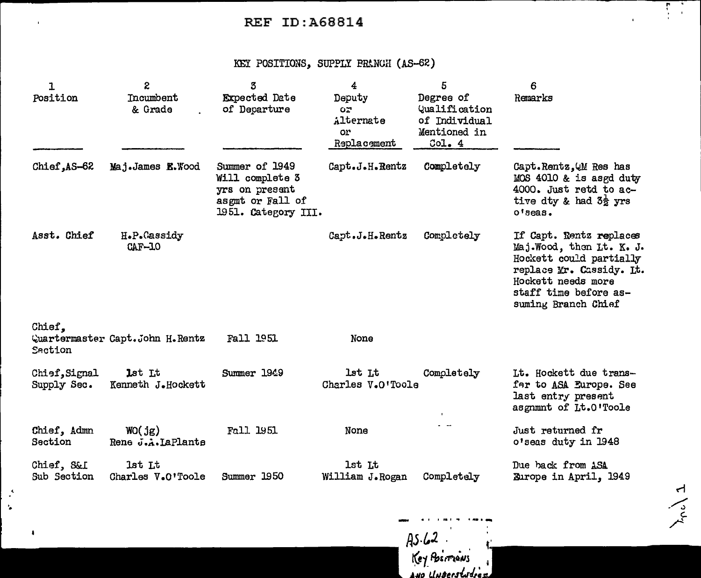### KEY POSITIONS, SUPPLY FRANCH (AS-62)

| $\mathbf{1}$<br>Position     | S.<br>Incumbent<br>& Grade        | 3<br><b>Expected Date</b><br>of Departure                                                      | 4<br>Deputy<br>OZ.<br>Alternate<br>or<br>Replacement | 5<br>Degree of<br>Qualification<br>of Individual<br>Mentioned in<br>Col.4 | 6<br>Remarks                                                                                                                                                                      |
|------------------------------|-----------------------------------|------------------------------------------------------------------------------------------------|------------------------------------------------------|---------------------------------------------------------------------------|-----------------------------------------------------------------------------------------------------------------------------------------------------------------------------------|
| Chief, AS-62                 | Maj.James E. Wood                 | Summer of 1949<br>Will complete 3<br>yrs on present<br>asgmt or Fall of<br>1951. Category III. | Capt.J.H.Rentz                                       | Completely                                                                | Capt. Rentz, QM Res has<br>MOS 4010 & is asgd duty<br>4000. Just retd to ac-<br>tive dty & had $3\frac{1}{2}$ yrs<br>$0†$ Beas.                                                   |
| Asst. Chief                  | H.P.Cassidy<br>$CAF-10$           |                                                                                                | Capt.J.H.Rentz                                       | Completely                                                                | If Capt. Rentz replaces<br>Maj. Wood, then Lt. K. J.<br>Hockett could partially<br>replace Mr. Cassidy. Lt.<br>Hockett needs more<br>staff time before as-<br>suming Branch Chief |
| Chief.<br>Section            | Quartermaster Capt. John H. Rentz | <b>Fall 1951</b>                                                                               | None                                                 |                                                                           |                                                                                                                                                                                   |
| Chief, Signal<br>Supply Sec. | lst Lt<br>Kenneth J.Hockett       | Summer 1949                                                                                    | lst Lt<br>Charles V.O'Toole                          | Completely                                                                | Lt. Hockett due trans-<br>fer to ASA Europe. See<br>last entry present<br>asgnmnt of Lt.0'Toole                                                                                   |
| Chief, Admn<br>Section       | WO(jg)<br>Rene J.A. LaPlante      | Fall 1951                                                                                      | None                                                 |                                                                           | Just returned fr<br>o'seas duty in 1948                                                                                                                                           |
| Chief, S&I<br>Sub Section    | 1st Lt<br>Charles V.O'Toole       | Summer 1950                                                                                    | 1st Lt<br>William J.Rogan                            | Completely                                                                | Due back from ASA<br>Burope in April, 1949                                                                                                                                        |

· ..

 $\pmb{\cdot}$ 

 $AS-62$  . ~ft\_ **,q.,;,'T"&QNJ**  *A.up LinBerstJdre.* 

... " ' . '

 $\lambda_{\rm pol}$  1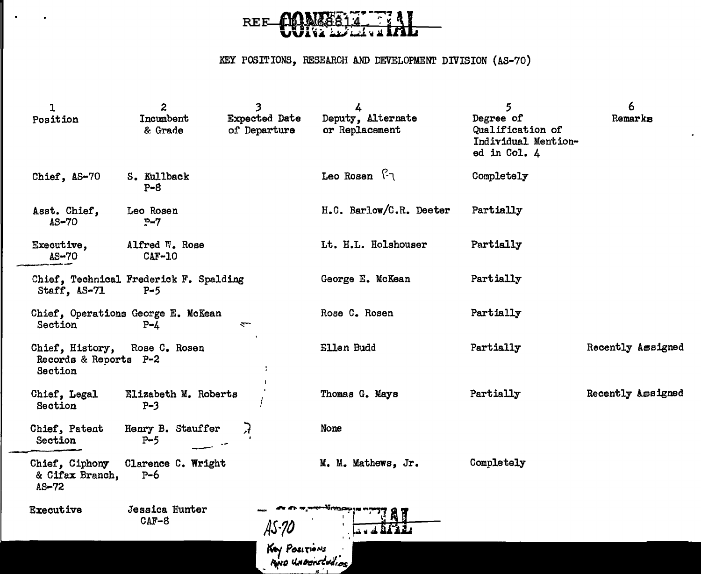

### KEY POSITIONS, RESEARCH AND DEVELOPMENT DIVISION (AS-70)

| ı<br>Position                                       | $\boldsymbol{z}$<br>Incumbent<br>& Grade        | 3<br><b>Expected Date</b><br>of Departure | 4<br>Deputy, Alternate<br>or Replacement | $\overline{5}$<br>Degree of<br>Qualification of<br>Individual Mention-<br>ed in Col. 4 | 6<br>Remarks      |
|-----------------------------------------------------|-------------------------------------------------|-------------------------------------------|------------------------------------------|----------------------------------------------------------------------------------------|-------------------|
| Chief, AS-70                                        | S. Kullback<br>$P - 8$                          |                                           | Leo Rosen $\lceil \cdot \rceil$          | Completely                                                                             |                   |
| Asst. Chief,<br>$AS-70$                             | Leo Rosen<br>$P - 7$                            |                                           | H.C. Barlow/C.R. Deeter                  | Partially                                                                              |                   |
| Executive,<br>$A S - 70$                            | Alfred W. Rose<br>$CAF-10$                      |                                           | Lt. H.L. Holshouser                      | Partially                                                                              |                   |
| Staff, AS-71                                        | Chief, Technical Frederick F. Spalding<br>$P-5$ |                                           | George E. McKean                         | Partially                                                                              |                   |
| Section                                             | Chief, Operations George E. McKean<br>$P - 4$   | $\overline{\phantom{0}}$                  | Rose C. Rosen                            | Partially                                                                              |                   |
| Chief, History,<br>Records & Reports P-2<br>Section | Rose C. Rosen                                   |                                           | Ellen Budd                               | Partially                                                                              | Recently Assigned |
| Chief, Legal<br>Section                             | Elizabeth M. Roberts<br>$P-3$                   |                                           | Thomas G. Mays                           | Partially                                                                              | Recently Assigned |
| Chief, Patent<br>Section                            | Henry B. Stauffer<br>$P-5$                      | Я                                         | None                                     |                                                                                        |                   |
| Chief, Ciphony<br>& Cifax Branch,<br>$AS-72$        | Clarence C. Wright<br>$P-6$                     |                                           | M. M. Mathews, Jr.                       | Completely                                                                             |                   |
| Executive                                           | Jessica Hunter<br>$CAF-8$                       | AS-90                                     | a amagustobia                            |                                                                                        |                   |
|                                                     |                                                 | Key POSITIONS<br>AND UNDERSTORIES         |                                          |                                                                                        |                   |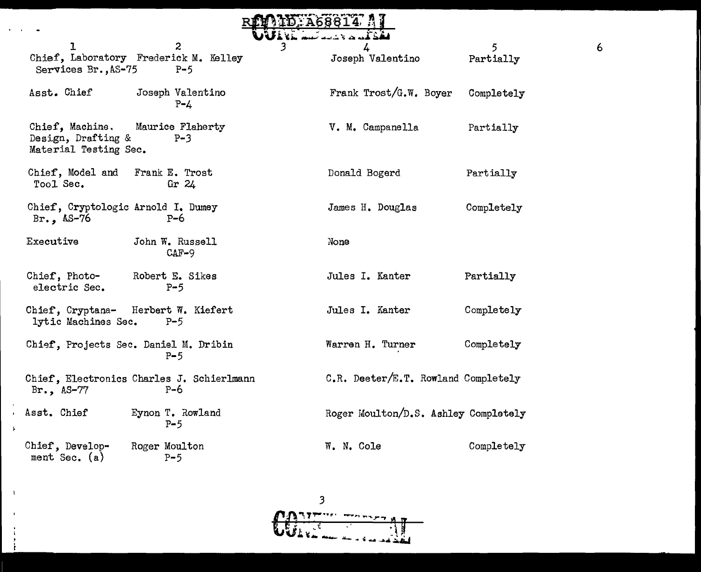|           |                                                                |                                                         | ID:A68814                     |                                      |                |
|-----------|----------------------------------------------------------------|---------------------------------------------------------|-------------------------------|--------------------------------------|----------------|
|           | ı                                                              | $\overline{c}$<br>Chief, Laboratory Frederick M. Kelley | لكالأنساء أستانا كالمحا<br>3. | 4<br>Joseph Valentino                | 5<br>Partially |
|           | Services Br., AS-75                                            | $P-5$                                                   |                               |                                      |                |
|           | Asst. Chief                                                    | Joseph Valentino<br>$P - 4$                             |                               | Frank Trost/G.W. Boyer               | Completely     |
|           | Chief, Machine.<br>Design, Drafting &<br>Material Testing Sec. | Maurice Flaherty<br>$P-3$                               |                               | V. M. Campanella                     | Partially      |
|           | Chief, Model and<br>Tool Sec.                                  | Frank E. Trost<br>Gr $24$                               |                               | Donald Bogerd                        | Partially      |
|           | Chief, Cryptologic Arnold I. Dumey<br>Br., $AS-76$             | $P-6$                                                   |                               | James H. Douglas                     | Completely     |
|           | Executive                                                      | John W. Russell<br>$CAF-9$                              |                               | None                                 |                |
|           | Chief, Photo-<br>electric Sec.                                 | Robert E. Sikes<br>$P-5$                                |                               | Jules I. Kanter                      | Partially      |
|           | lytic Machines Sec.                                            | Chief, Cryptana- Herbert W. Kiefert<br>$P - 5$          |                               | Jules I. Kanter                      | Completely     |
|           |                                                                | Chief, Projects Sec. Daniel M. Dribin<br>$P-5$          |                               | Warren H. Turner                     | Completely     |
|           | Br., $AS-77$                                                   | Chief, Electronics Charles J. Schierlmann<br>$P-6$      |                               | C.R. Deeter/E.T. Rowland Completely  |                |
| $\lambda$ | Asst. Chief                                                    | Eynon T. Rowland<br>$P-5$                               |                               | Roger Moulton/D.S. Ashley Completely |                |
|           | Chief, Develop-<br>ment Sec. $(a)$                             | Roger Moulton<br>$P-5$                                  |                               | W. N. Cole                           | Completely     |

 $\sim 1^{\circ}$ 

 $\mathcal{A}$  $\frac{1}{4}$ - 11 -i

 $\overline{6}$ 

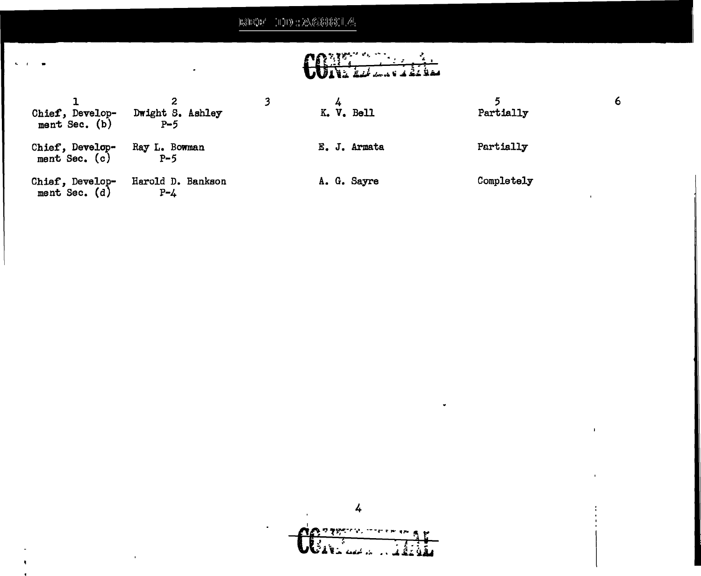## ,, ,,, ;''l'i'' 'II 0111).' ·,,,. *(/ '(•* i)~·~ •)'II t.;i l1;>;;\li •• r I ., /•I ,.t.,\~~·11'.:PJ•.r•J. ,l : ~~~~~~~~~

 $\sim$   $\sim$ 

# 

| Chief, Develop-<br>ment Sec. (b) | Dwight S. Ashley<br>$P - 5$  | K. V. Bell   | Partially  | 6 |
|----------------------------------|------------------------------|--------------|------------|---|
| Chief, Develop-<br>ment Sec. (c) | Ray L. Bowman<br>$P-5$       | E. J. Armata | Partially  |   |
| Chief, Develop-<br>ment Sec. (d) | Harold D. Bankson<br>$P - 4$ | A. G. Sayre  | Completely |   |

4 **CONTRACTOR** and the first parties of the first parties of the first parties of the first parties of the first parties of t<br>And the first parties of the first parties of the first parties of the first parties of the first parties of t  $\mathbf{E}$  .

 $\blacksquare$ 

 $\hat{\mathbf{r}}$ 

 $\bullet$ 

 $\bar{\mathbf{r}}$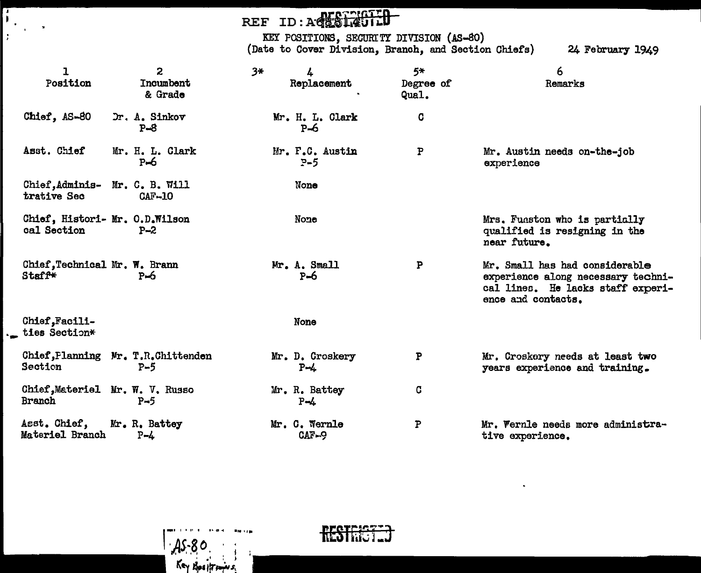## REF ID: ACESIAGTIO

 $\mathbf{I}$ 

 $\frac{1}{2}$ 

۰.

 $\tilde{\mathbf{z}}$ 

KEY POSITIONS, SECURITY DIVISION (AS-80)<br>(Date to Cover Division, Branch, and Section Chiefs)

24 February 1949

| ı<br>Position                                    | 2<br>Incumbent<br>& Grade    | $3*$ | 4<br>Replacement           | $5*$<br>Degree of<br>Qual. | 6<br>Remarks                                                                                                                    |
|--------------------------------------------------|------------------------------|------|----------------------------|----------------------------|---------------------------------------------------------------------------------------------------------------------------------|
| Chief, AS-80                                     | Dr. A. Sinkov<br>$P - 8$     |      | Mr. H. L. Clark<br>$P=6$   | C                          |                                                                                                                                 |
| Asst. Chief                                      | Mr. H. L. Clark<br>$P-6$     |      | Mr. F.C. Austin<br>$P - 5$ | P                          | Mr. Austin needs on-the-job<br>experience                                                                                       |
| Chief, Adminis-<br>trative Sec                   | Mr. C. B. Will<br>$CAF - 10$ |      | None                       |                            |                                                                                                                                 |
| Chief, Histori- Mr. O.D.Wilson<br>cal Section    | $P - 2$                      |      | None                       |                            | Mrs. Funston who is partially<br>qualified is resigning in the<br>near future.                                                  |
| Chief, Technical Mr. W. Brann<br><b>Staff*</b>   | $P-6$                        |      | Mr. A. Small<br>$P=6$      | P                          | Mr. Small has had considerable<br>experience along necessary techni-<br>cal lines. He lacks staff experi-<br>ence and contacts. |
| Chief.Facili-<br>ties Section*                   |                              |      | None                       |                            |                                                                                                                                 |
| Chief, Planning Mr. T.R.Chittenden<br>Section    | $P-5$                        |      | Mr. D. Croskery<br>$P - 4$ | P                          | Mr. Croskery needs at least two<br>years experience and training.                                                               |
| Chief, Materiel Mr. W. V. Russo<br><b>Branch</b> | $P - 5$                      |      | Mr. R. Battey<br>$P - 4$   | C                          |                                                                                                                                 |
| Asst. Chief,<br>Materiel Branch                  | Mr. R. Battey<br>$P - 4$     |      | Mr. C. Wernle<br>CAF-9     | P                          | Mr. Wernle needs more administra-<br>tive experience.                                                                           |



As-80

Key Bositromes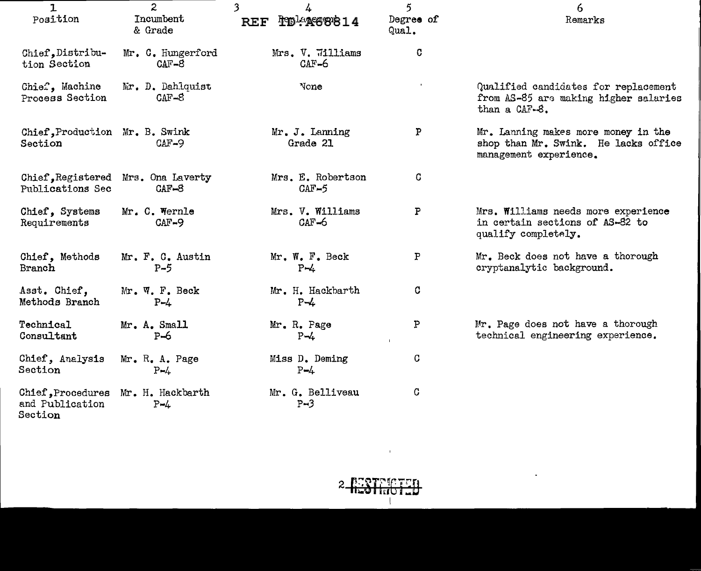| $\mathbf{1}$<br>Position                                         | $\mathbf{2}$<br><b>Tncumbent</b><br>& Grade   | $\overline{\mathbf{3}}$<br>4<br>PD-A668814<br><b>REF</b> | $\mathbf{5}$<br>Degree of<br>Qual. | 6<br>Remarks                                                                                          |
|------------------------------------------------------------------|-----------------------------------------------|----------------------------------------------------------|------------------------------------|-------------------------------------------------------------------------------------------------------|
| Chief, Distribu-<br>tion Section                                 | Mr. C. Hungerford<br>$CAT-8$                  | Mrs. V. 711liams<br>$CAF-6$                              | C                                  |                                                                                                       |
| Chief, Machine<br>Process Section                                | Mr. D. Dahlquist<br>$CAF-8$                   | None                                                     |                                    | Qualified candidates for replacement<br>from AS-85 are making higher salaries<br>than a CAF-8.        |
| Chief, Production Mr. B. Swink<br>Section                        | $CAF-9$                                       | Mr. J. Lanning<br>Grade 21                               | $\mathbf{P}$                       | Mr. Lanning makes more money in the<br>shop than Mr. Swink. He lacks office<br>management experience. |
| Publications Sec                                                 | Chief, Registered Mrs. Ona Laverty<br>$CAF-8$ | Mrs. E. Robertson<br>$CAF-5$                             | C                                  |                                                                                                       |
| Chief, Systems<br>Requirements                                   | Mr. C. Wernle<br>$CAF-9$                      | Mrs. V. Williams<br>$CAF-6$                              | ${\tt P}$                          | Mrs. Williams needs more experience<br>in certain sections of AS-82 to<br>qualify completely.         |
| Chief, Methods<br>Branch                                         | Mr. F. C. Austin<br>$P-5$                     | Mr. W. F. Beck<br>$P - 4$                                | P                                  | Mr. Beck does not have a thorough<br>cryptanalytic background.                                        |
| Asst. Chief,<br>Methods Branch                                   | Mr. W. F. Beck<br>$P - 4$                     | Mr. H. Hackbarth<br>$P - 4$                              | C                                  |                                                                                                       |
| Technical<br>Consultant                                          | Mr. A. Small<br>$P=6$                         | Mr. R. Page<br>$P - 4$                                   | $\, {\bf P}$<br>$\mathbf{L}$       | Mr. Page does not have a thorough<br>technical engineering experience.                                |
| Chief, Analysis<br>Section                                       | Mr. R. A. Page<br>$P - 4$                     | Miss D. Deming<br>$P - 4$                                | C                                  |                                                                                                       |
| Chief, Procedures Mr. H. Hackbarth<br>and Publication<br>Section | $P - 4$                                       | Mr. G. Belliveau<br>$P - 3$                              | C                                  |                                                                                                       |



 $\mathcal{L}^{\text{max}}_{\text{max}}$  and  $\mathcal{L}^{\text{max}}_{\text{max}}$ 

 $\mathcal{L}^{\mathcal{L}}$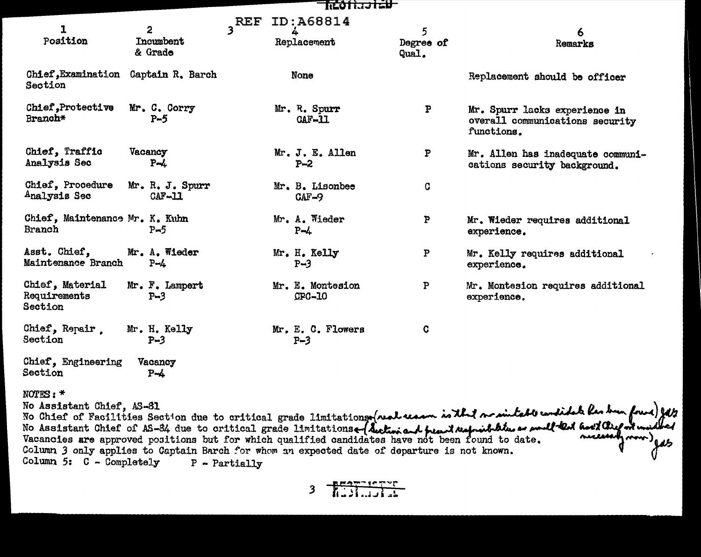| Rohajtev                                   |                               |                    |                              |                         |                                                                                |  |  |
|--------------------------------------------|-------------------------------|--------------------|------------------------------|-------------------------|--------------------------------------------------------------------------------|--|--|
| $\mathbf{I}$<br>Position                   | 2<br>Incumbent<br>& Grade     | $3$ <sup>REF</sup> | ID:A68814<br>Replacement     | 5<br>Degree of<br>Qual. | 6<br>Remarks                                                                   |  |  |
| <b>Chief, Examination</b><br>Section       | Captain R. Barch              |                    | None                         |                         | Replacement should be officer                                                  |  |  |
| Chief, Protective<br>Branch*               | Mr. C. Corry<br>$P-5$         |                    | Mr. R. Spurr<br>$CAF-11$     | P                       | Mr. Spurr lacks experience in<br>overall communications security<br>functions. |  |  |
| Chief, Traffic<br>Analysis Sec             | Vacancy<br>$P - L$            |                    | Mr. J. E. Allen<br>$P - 2$   | P                       | Mr. Allen has inadequate communi-<br>cations security background.              |  |  |
| Chief, Procedure<br>Analysis Sec           | Mr. R. J. Spurr<br>$CAF - 11$ |                    | Mr. B. Lisonbee<br>$CAF-9$   | C                       |                                                                                |  |  |
| Chief, Maintenance Mr. K. Kuhn<br>Branch   | $P-5$                         |                    | Mr. A. Wieder<br>$P - 4$     | P                       | Mr. Wieder requires additional<br>experience.                                  |  |  |
| Asst. Chief,<br>Maintenance Branch         | Mr. A. Wieder<br>$P - 4$      |                    | Mr. H. Kelly<br>$P-3$        | P                       | Mr. Kelly requires additional<br>experience.                                   |  |  |
| Chief, Material<br>Requirements<br>Section | Mr. F. Lampert<br>$P-3$       |                    | Mr. E. Montesion<br>$CPC-10$ | P                       | Mr. Montesion requires additional<br>experience.                               |  |  |
| Chief, Repair.<br>Section                  | Mr. H. Kelly<br>$P - 3$       |                    | Mr. E. C. Flowers<br>$P-3$   | C                       |                                                                                |  |  |
| Chief. Engineering                         | Vacancy                       |                    |                              |                         |                                                                                |  |  |

NOTES:\*

Section

Vacancy P-4

No Assistant Chief, AS-81<br>No Assistant Chief, AS-81<br>No Assistant Chief of AS-84 due to critical grade limitations (Auctiviant peant Maprinthline are proulted have distributed<br>No Assistant Chief of AS-84 due to critical gra Column *3* only applies to Captain Barch for whom an expected date of departure is not known.  $\bullet$ Column 5: C - Completely P - Partially

3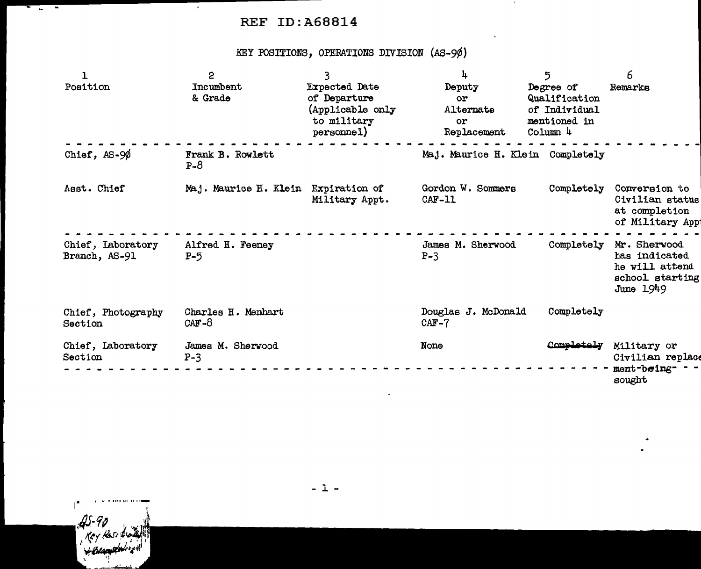## ., ... - REF ID:A68814

KEY POSITIONS, OPERATIONS DIVISION (AS-9¢)

| $\mathbf{1}$<br>Position           | $\mathbf{c}$<br>Incumbent<br>& Grade | 3<br><b>Expected Date</b><br>of Departure<br>(Applicable only<br>to military<br>personnel) | 4<br>Deputy<br>or<br>Alternate<br>or<br>Replacement | 5<br>Degree of<br>Qualification<br>of Individual<br>mentioned in<br>Colum <sub>4</sub> | 6<br>Remarks                                                                      |
|------------------------------------|--------------------------------------|--------------------------------------------------------------------------------------------|-----------------------------------------------------|----------------------------------------------------------------------------------------|-----------------------------------------------------------------------------------|
| Chief, $AS-9\%$                    | Frank B. Rowlett<br>$P - 8$          |                                                                                            | Maj. Maurice H. Klein Completely                    |                                                                                        |                                                                                   |
| Asst. Chief                        | Maj. Maurice H. Klein                | Expiration of<br>Military Appt.                                                            | Gordon W. Sommers<br>$CAF-11$                       | Completely                                                                             | Conversion to<br>Civilian status<br>at completion<br>of Military App              |
| Chief, Laboratory<br>Branch, AS-91 | Alfred H. Feeney<br>$P-5$            |                                                                                            | James M. Sherwood<br>$P-3$                          | Completely                                                                             | Mr. Sherwood<br>has indicated<br>he will attend<br>school starting<br>June $1949$ |
| Chief, Photography<br>Section      | Charles H. Menhart<br>$CAF-8$        |                                                                                            | Douglas J. McDonald<br>$CAF-7$                      | Completely                                                                             |                                                                                   |
| Chief, Laboratory<br>Section       | James M. Sherwood<br>$P-3$           |                                                                                            | None                                                | Completely                                                                             | Military or<br>Civilian replace<br>ment-being- -<br>sought                        |

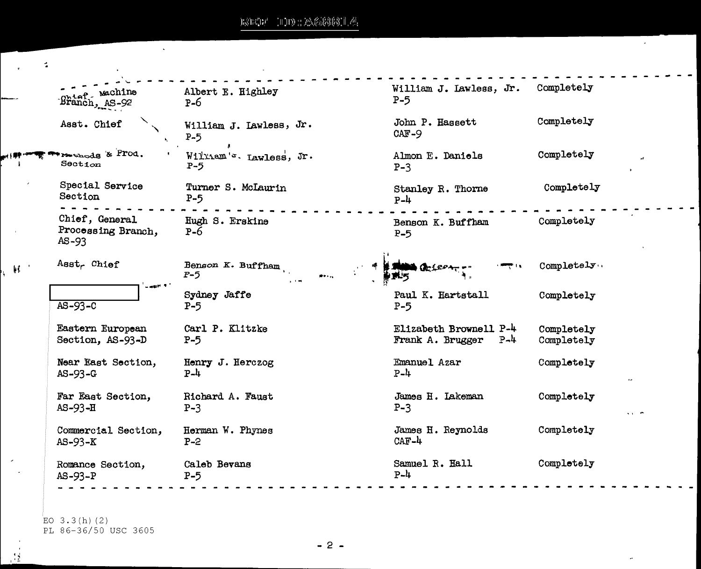$\mathbf{v}$ 

 $\mathcal{L}$ 

 $\mathbf{R}^{\text{max}}$ 

 $\overline{\phantom{a}}$ 

 $\mathbb{R}^3$ 

 $\mathcal{L}^{\pm}$ 

×,

| high Machine                                  | Albert E. Highley                | William J. Lawless, Jr.    | Completely |
|-----------------------------------------------|----------------------------------|----------------------------|------------|
| $B$ ranch, $AS - 92$                          | $P-6$                            | $P-5$                      |            |
| Asst. Chief                                   | William J. Lawless, Jr.<br>$P-5$ | John P. Hassett<br>$CAF-9$ | Completely |
| methods & Prod.                               | William's. Lawless, Jr.          | Almon E. Daniels           | Completely |
| Secti                                         | $P - 5$                          | $P-3$                      |            |
| Special Service                               | Turner S. McLaurin               | Stanley R. Thorne          | Completely |
| Section                                       | $P-5$                            | $P-4$                      |            |
| Chief, General<br>Processing Branch,<br>AS-93 | Hugh S. Erskine<br>$P-6$         | Benson K. Buffham<br>$P-5$ | Completely |
| Asst <sub>r</sub> Chief                       | Benson K. Buffham<br>$P-5$       | ሙሂደዎ                       | Completely |
| $\omega$ and $\Omega$ .                       | Sydney Jaffe                     | Paul K. Hartstall          | Completely |
| $AS-93-C$                                     | $P-5$                            | $P-5$                      |            |
| Eastern European                              | Carl P. Klitzke                  | Elizabeth Brownell P-4     | Completely |
| Section, AS-93-D                              | $P-5$                            | Frank A. Brugger P-4       | Completely |
| Near East Section,                            | Henry J. Herczog                 | Emanuel Azar               | Completely |
| $AS - 93 - G$                                 | $P - 4$                          | $P-4$                      |            |
| Far East Section,                             | Richard A. Faust                 | James H. Lakeman           | Completely |
| $AS-93-H$                                     | $P-3$                            | $P-3$                      |            |
| Commercial Section,                           | Herman W. Phynes                 | James H. Reynolds          | Completely |
| $AS-93-K$                                     | $P - 2$                          | $CAF-4$                    |            |
| Romance Section,                              | Caleb Bevans                     | Samuel R. Hall             | Completely |
| $AS-93-P$                                     | $P-5$                            | $P - 4$                    |            |

EO  $3.3(h)$  (2) PL 86-36/50 USC 3605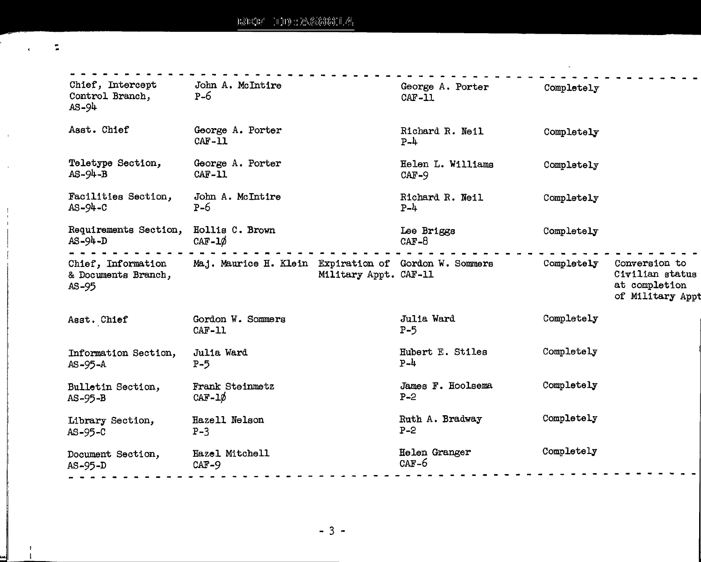--

 $\epsilon$  .

 $\mathbf{u}$ 

 $\bar{\bar{1}}$ 

 $\begin{array}{c} 1 \\ 1 \\ 1 \end{array}$ 

...

 $\frac{1}{4}$ 

| Chief, Intercept<br>Control Branch,<br>$AS-94$       | John A. McIntire<br>$P-6$                                                      | George A. Porter<br>$CAF-11$ | Completely |                                                                       |
|------------------------------------------------------|--------------------------------------------------------------------------------|------------------------------|------------|-----------------------------------------------------------------------|
| Asst. Chief                                          | George A. Porter<br>$CAF-11$                                                   | Richard R. Neil<br>$P-4$     | Completely |                                                                       |
| Teletype Section,<br>$AS-94-B$                       | George A. Porter<br>$CAF-11$                                                   | Helen L. Williams<br>$CAF-9$ | Completely |                                                                       |
| Facilities Section,<br>$AS - 94 - C$                 | John A. McIntire<br>$P-6$                                                      | Richard R. Neil<br>$P-\mu$   | Completely |                                                                       |
| Requirements Section,<br>$AS = 94 - D$               | Hollis C. Brown<br>CAF- $1\phi$                                                | Lee Briggs<br>$CAF-8$        | Completely |                                                                       |
| Chief, Information<br>& Documents Branch,<br>$AS-95$ | Maj. Maurice H. Klein Expiration of Gordon W. Sommers<br>Military Appt. CAF-11 |                              | Completely | Conversion to<br>Civilian status<br>at completion<br>of Military Appt |
| Asst. Chief                                          | Gordon W. Sommers<br>$CAF-11$                                                  | Julia Ward<br>$P-5$          | Completely |                                                                       |
| Information Section,<br>$AS-95-A$                    | Julia Ward<br>$P-5$                                                            | Hubert E. Stiles<br>$P - 4$  | Completely |                                                                       |
| Bulletin Section,<br>$AS-95-B$                       | <b>Frank Steinmetz</b><br>$CAF-1\phi$                                          | James F. Hoolsema<br>$P - 2$ | Completely |                                                                       |
| Library Section,<br>$AS-95-C$                        | Hazell Nelson<br>$P-3$                                                         | Ruth A. Bradway<br>$P - 2$   | Completely |                                                                       |
| Document Section,<br>$AS-95-D$                       | Hazel Mitchell<br>$CAF-9$                                                      | Helen Granger<br>$CAF-6$     | Completely |                                                                       |
|                                                      |                                                                                |                              |            |                                                                       |

 $\omega$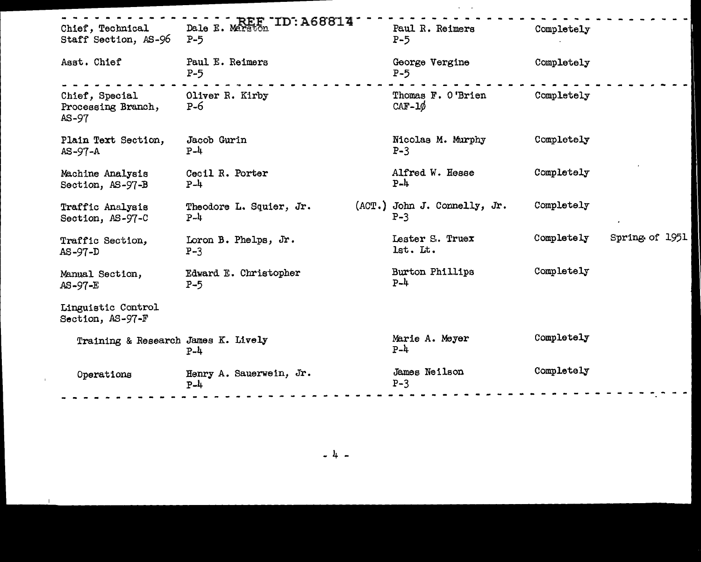| Chief, Technical<br>Staff Section, AS-96        | Dale E. Marston ID: A68814<br>$P-5$ | Paul R. Reimers<br>$P-5$              | Completely                   |
|-------------------------------------------------|-------------------------------------|---------------------------------------|------------------------------|
| Asst. Chief                                     | Paul E. Reimers<br>$P-5$            | George Vergine<br>$P-5$               | Completely                   |
| Chief, Special<br>Processing Branch,<br>$AS-97$ | Oliver R. Kirby<br>$P - 6$          | Thomas F. O'Brien<br>$CAF-1\phi$      | Completely                   |
| Plain Text Section,<br>$AS-97-A$                | Jacob Gurin<br>$P-4$                | Nicolas M. Murphy<br>$P-3$            | Completely                   |
| Machine Analysis<br>Section, AS-97-B            | Cecil R. Porter<br>$P-4$            | Alfred W. Hesse<br>$P-4$              | Completely                   |
| Traffic Analysis<br>Section, AS-97-C            | Theodore L. Squier, Jr.<br>$P-4$    | (ACT.) John J. Connelly, Jr.<br>$P-3$ | Completely                   |
| Traffic Section,<br>$AS-97-D$                   | Loron B. Phelps, Jr.<br>$P-3$       | Lester S. Truex<br>lst. Lt.           | Spring of 1951<br>Completely |
| Manual Section,<br>$AS-97-E$                    | Edward E. Christopher<br>$P-5$      | Burton Phillips<br>$P-4$              | Completely                   |
| Linguistic Control<br>Section, AS-97-F          |                                     |                                       |                              |
| Training & Research James K. Lively             | $P-4$                               | Marie A. Meyer<br>$P - 4$             | Completely                   |
| Operations                                      | Henry A. Sauerwein, Jr.<br>$P-4$    | James Neilson<br>$P-3$                | Completely                   |
|                                                 |                                     |                                       |                              |

- 4 -

 $\mathbf{I}$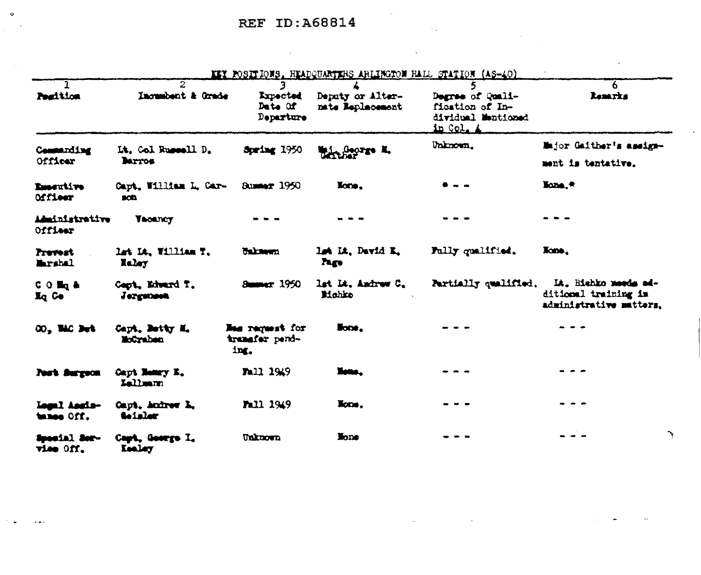$\sim 10^{11}$  and

|                                   |                                     |                                                  | KKY POSITIONS, HEADQUARTERS ARLINGTON RALL STATION (AS-40) |                                                                        |                                                                         |
|-----------------------------------|-------------------------------------|--------------------------------------------------|------------------------------------------------------------|------------------------------------------------------------------------|-------------------------------------------------------------------------|
| Posttion                          | 2<br>Incumbent & Grade              | <b>Expected</b><br>Date Of<br>Departure          | Deputy or Alter-<br>nate Replacement                       | Degree of Quali-<br>fication of In-<br>dividual Mentioned<br>in Col. A | h.<br><b>Remarks</b>                                                    |
| Commanding<br>Officer             | Lt. Col Russell D.<br><b>Barros</b> | Spring 1950                                      | Without K.                                                 | Unknown.                                                               | Major Gaither's assign-<br>ment is tentative.                           |
| <b>Emertive</b><br>officer        | Capt. William L. Car-<br>300        | <b>BURNET 1950</b>                               | None,                                                      |                                                                        | Hone.*                                                                  |
| Administrative<br>Officer         | <b>Vacancy</b>                      |                                                  |                                                            |                                                                        |                                                                         |
| <b>Prevent</b><br><b>Marshal</b>  | lat IA, William T.<br>laley         | <b>Unicated</b>                                  | lat Lt. David K.<br><b>Page</b>                            | Fally qualified.                                                       | lions,                                                                  |
| COM <sub>2</sub> &<br>$I_q$ Ce    | Capt. Edward T.<br>Jergensen        | <b>Summer 1950</b>                               | lst Lt. Andrew C.<br>Mohko                                 | Partially qualified.                                                   | Lt. Bichko moods ad-<br>ditional training in<br>administrative matters. |
| CO., Mic But                      | Capt. Botty M.<br>McCreben          | <b>Bas request for</b><br>transfer pend-<br>ing. | lions.                                                     |                                                                        |                                                                         |
| <b>Post Surgeon</b>               | Capt Beary E.<br>Lellmann           | Fall 1949                                        | lime,                                                      |                                                                        |                                                                         |
| <b>Legal Assis-</b><br>tense Off. | Capt, Andrew L.<br>toialer          | <b>Pall 1949</b>                                 | licne.                                                     |                                                                        |                                                                         |
| Special Ser-<br><b>Winner Off</b> | Capt. George I.<br><b>Tanlay</b>    | Unknown                                          | <b>None</b>                                                |                                                                        | ٦                                                                       |

and the control of the control of

 $\bullet$